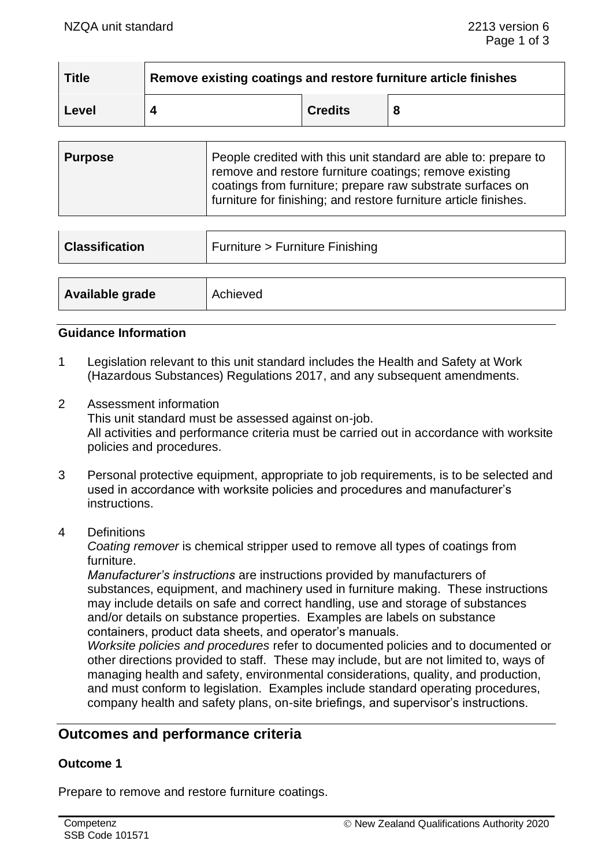| <b>Title</b> | Remove existing coatings and restore furniture article finishes |                |   |
|--------------|-----------------------------------------------------------------|----------------|---|
| Level        |                                                                 | <b>Credits</b> | 8 |

| Purpose | People credited with this unit standard are able to: prepare to<br>remove and restore furniture coatings; remove existing      |  |
|---------|--------------------------------------------------------------------------------------------------------------------------------|--|
|         | coatings from furniture; prepare raw substrate surfaces on<br>furniture for finishing; and restore furniture article finishes. |  |

| <b>Classification</b> | Furniture > Furniture Finishing |
|-----------------------|---------------------------------|
|                       |                                 |
| Available grade       | Achieved                        |

### **Guidance Information**

- 1 Legislation relevant to this unit standard includes the Health and Safety at Work (Hazardous Substances) Regulations 2017, and any subsequent amendments.
- 2 Assessment information This unit standard must be assessed against on-job. All activities and performance criteria must be carried out in accordance with worksite policies and procedures.
- 3 Personal protective equipment, appropriate to job requirements, is to be selected and used in accordance with worksite policies and procedures and manufacturer's instructions.
- 4 Definitions

*Coating remover* is chemical stripper used to remove all types of coatings from furniture.

*Manufacturer's instructions* are instructions provided by manufacturers of substances, equipment, and machinery used in furniture making. These instructions may include details on safe and correct handling, use and storage of substances and/or details on substance properties. Examples are labels on substance containers, product data sheets, and operator's manuals.

*Worksite policies and procedures* refer to documented policies and to documented or other directions provided to staff. These may include, but are not limited to, ways of managing health and safety, environmental considerations, quality, and production, and must conform to legislation. Examples include standard operating procedures, company health and safety plans, on-site briefings, and supervisor's instructions.

# **Outcomes and performance criteria**

### **Outcome 1**

Prepare to remove and restore furniture coatings.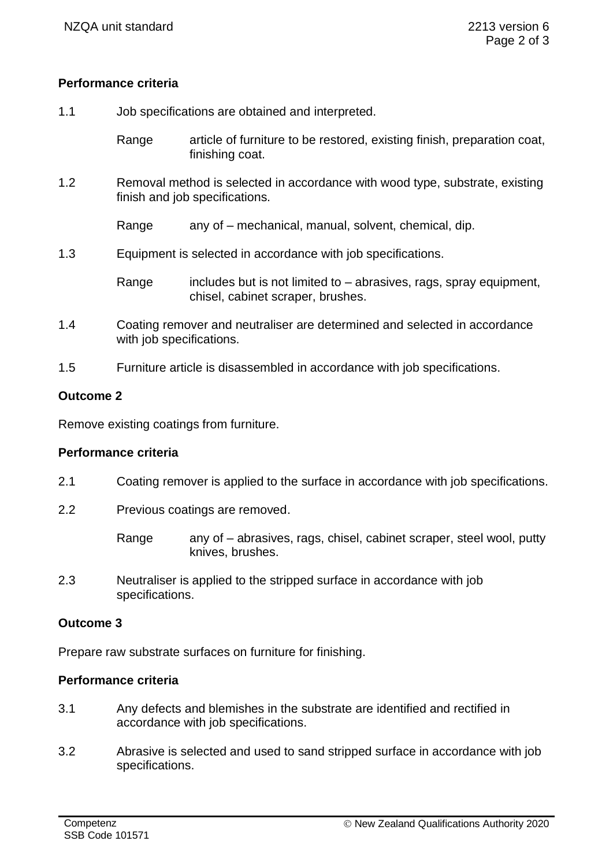## **Performance criteria**

1.1 Job specifications are obtained and interpreted.

Range article of furniture to be restored, existing finish, preparation coat, finishing coat.

1.2 Removal method is selected in accordance with wood type, substrate, existing finish and job specifications.

Range any of – mechanical, manual, solvent, chemical, dip.

1.3 Equipment is selected in accordance with job specifications.

Range includes but is not limited to  $-$  abrasives, rags, spray equipment, chisel, cabinet scraper, brushes.

- 1.4 Coating remover and neutraliser are determined and selected in accordance with job specifications.
- 1.5 Furniture article is disassembled in accordance with job specifications.

#### **Outcome 2**

Remove existing coatings from furniture.

### **Performance criteria**

- 2.1 Coating remover is applied to the surface in accordance with job specifications.
- 2.2 Previous coatings are removed.

Range any of – abrasives, rags, chisel, cabinet scraper, steel wool, putty knives, brushes.

2.3 Neutraliser is applied to the stripped surface in accordance with job specifications.

### **Outcome 3**

Prepare raw substrate surfaces on furniture for finishing.

### **Performance criteria**

- 3.1 Any defects and blemishes in the substrate are identified and rectified in accordance with job specifications.
- 3.2 Abrasive is selected and used to sand stripped surface in accordance with job specifications.